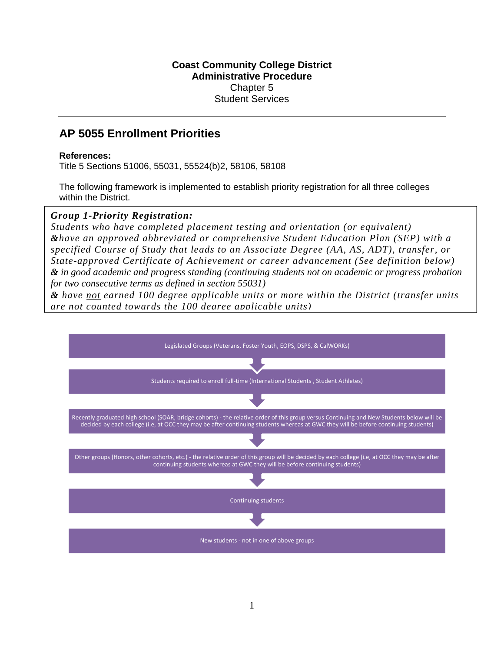#### **Coast Community College District Administrative Procedure**  Chapter 5 Student Services

# **AP 5055 Enrollment Priorities**

#### **References:**

Title 5 Sections 51006, 55031, 55524(b)2, 58106, 58108

The following framework is implemented to establish priority registration for all three colleges within the District.

### *Group 1-Priority Registration:*

 *&have an approved abbreviated or comprehensive Student Education Plan (SEP) with a Students who have completed placement testing and orientation (or equivalent) specified Course of Study that leads to an Associate Degree (AA, AS, ADT), transfer, or State-approved Certificate of Achievement or career advancement (See definition below) & in good academic and progress standing (continuing students not on academic or progress probation for two consecutive terms as defined in section 55031)* 

*& have not earned 100 degree applicable units or more within the District (transfer units are not counted towards the 100 degree applicable units)*